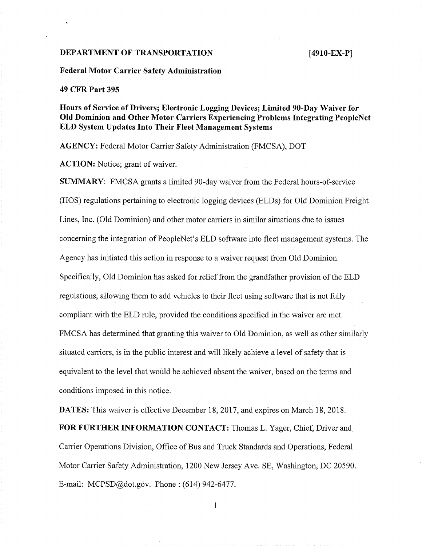## **DEPARTMENT OF TRANSPORTATION [4910-EX-PI**

**Federal Motor Carrier Safety Administration**

#### **49 CFR Part 395**

**Hours of Service of Drivers; Electronic Logging Devices; Limited 90-Day Waiver for Old Dominion and Other Motor Carriers Experiencing Problems Integrating PeopleNet ELD System Updates Into Their Fleet Management Systems**

**AGENCY:** Federal Motor Carrier Safety Administration (FMCSA), DOT

**ACTION:** Notice; grant of waiver.

**SUMMARY:** FMCSA grants a limited 90-day waiver from the Federal hours-of-service (HOS) regulations pertaining to electronic logging devices (ELDs) for Old Dominion Freight Lines, Inc. (Old Dominion) and other motor carriers in similar situations due to issues concerning the integration of PeopleNet's ELD software into fleet management systems. The Agency has initiated this action in response to a waiver request from Old Dominion. Specifically, Old Dominion has asked for relief from the grandfather provision of the ELD regulations, allowing them to add vehicles to their fleet using software that is not fully compliant with the ELD rule, provided the conditions specified in the waiver are met. FMCSA has determined that granting this waiver to Old Dominion, as well as other similarly situated carriers, is in the public interest and will likely achieve a level of safety that is equivalent to the level that would be achieved absent the waiver, based on the terms and conditions imposed in this notice.

**DATES:** This waiver is effective December 18, 2017, and expires on March 18, 2018. **FOR FURTHER INFORMATION CONTACT:** Thomas L. Yager, Chief, Driver and Carrier Operations Division, Office of Bus and Truck Standards and Operations, Federal Motor Carrier Safety Administration, 1200 New Jersey Ave. SE, Washington, DC *20590.* E-mail: MCPSD $@dot.gov.$  Phone : (614) 942-6477.

 $\mathbf{1}$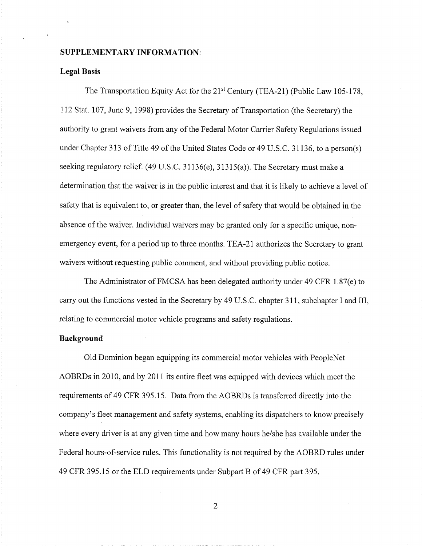### **SUPPLEMENTARY INFORMATION:**

#### **Legal Basis**

The Transportation Equity Act for the 21<sup>st</sup> Century (TEA-21) (Public Law 105-178, 112 Stat. 107, June 9, 1998) provides the Secretary of Transportation (the Secretary) the authority to grant waivers from any of the Federal Motor Carrier Safety Regulations issued under Chapter 313 of Title 49 of the United States Code or 49 U.S.C. 31136, to a person(s) seeking regulatory relief. (49 U.S.C. 3 1136(e), 31315(a)). The Secretary must make a determination that the waiver is in the public interest and that it is likely to achieve a level of safety that is equivalent to, or greater than, the level of safety that would be obtained in the absence of the waiver. Individual waivers may be granted only for a specific unique, nonemergency event, for a period up to three months. TEA-21 authorizes the Secretary to grant waivers without requesting public comment, and without providing public notice.

The Administrator of FMCSA has been delegated authority under 49 CFR 1.87(e) to carry out the functions vested in the Secretary by 49 U.S.C. chapter 311, subchapter I and III, relating to commercial motor vehicle programs and safety regulations.

# **Background**

Old Dominion began equipping its commercial motor vehicles with PeopleNet AOBRDs in 2010, and by 2011 its entire fleet was equipped with devices which meet the requirements of 49 CFR 395.15. Data from the AOBRDs is transferred directly into the company's fleet management and safety systems, enabling its dispatchers to know precisely where every driver is at any given time and how many hours he/she has available under the Federal hours-of-service rules. This functionality is not required by the AOBRD rules under 49 CFR 395.15 or the ELD requirements under Subpart B of 49 CFR part 395.

 $\overline{2}$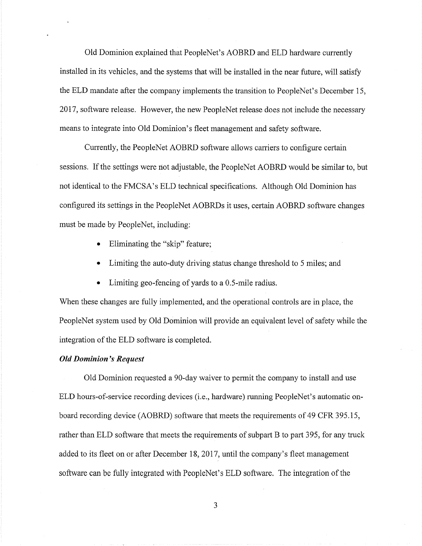Old Dominion explained that PeopleNet's AOBRD and ELD hardware currently installed in its vehicles, and the systems that will be installed in the near future, will satisfy the ELD mandate after the company implements the transition to PeopleNet's December 15, 2017, software release. However, the new PeopleNet release does not include the necessary means to integrate into Old Dominion's fleet management and safety software.

Currently, the PeopleNet AOBRD software allows carriers to configure certain sessions. If the settings were not adjustable, the PeopleNet AOBRD would be similar to, but not identical to the FMCSA's ELD technical specifications. Although Old Dominion has configured its settings in the PeopleNet AOBRDs it uses, certain AOBRD software changes must be made by PeopleNet, including:

- Eliminating the "skip" feature;
- Limiting the auto-duty driving status change threshold to 5 miles; and
- Limiting geo-fencing of yards to a 0.5-mile radius.

When these changes are fully implemented, and the operational controls are in place, the PeopleNet system used by Old Dominion will provide an equivalent level of safety while the integration of the ELD software is completed.

#### *Old Dominion 's Request*

Old Dominion requested a 90-day waiver to permit the company to install and use ELD hours-of-service recording devices (i.e., hardware) running PeopleNet's automatic onboard recording device (AOBRD) software that meets the requirements of 49 CFR *395.15,* rather than ELD software that meets the requirements of subpart B to part *395,* for any truck added to its fleet on or after December 18, 2017, until the company's fleet management software can be fully integrated with PeopleNet's ELD software. The integration of the

3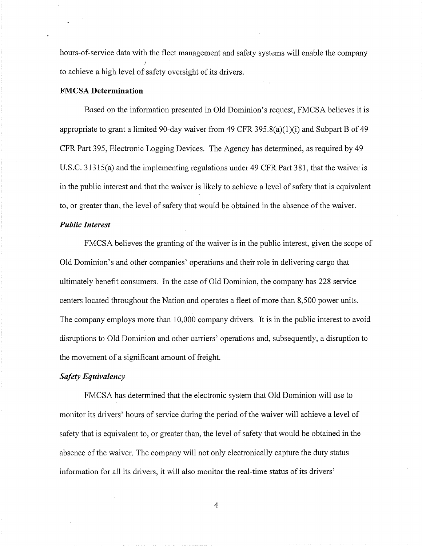hours-of-service data with the fleet management and safety systems will enable the company to achieve a high level of safety oversight of its drivers.

## **FMCSA Determination**

Based on the information presented in Old Dominion's request, FMCSA believes it is appropriate to grant a limited 90-day waiver from 49 CFR 395.8(a)(1)(i) and Subpart B of 49 CFR Part *395,* Electronic Logging Devices. The Agency has determined, as required by 49 U.S.C. *31315(a)* and the implementing regulations under 49 CFR Part 381, that the waiver is in the public interest and that the waiver is likely to achieve a level of safety that is equivalent to, or greater than, the level of safety that would be obtained in the absence of the waiver.

## *Public Interest*

FMCSA believes the granting of the waiver is in the public interest, given the scope of Old Dominion's and other companies' operations and their role in delivering cargo that ultimately benefit consumers. In the case of Old Dominion, the company has 228 service centers located throughout the Nation and operates a fleet of more than 8,500 power units. The company employs more than 10,000 company drivers. It is in the public interest to avoid disruptions to Old Dominion and other carriers' operations and, subsequently, a disruption to the movement of a significant amount of freight.

## *Safety Equivalency*

FMCSA has determined that the electronic system that Old Dominion will use to monitor its drivers' hours of service during the period of the waiver will achieve a level of safety that is equivalent to, or greater than, the level of safety that would be obtained in the absence of the waiver. The company will not only electronically capture the duty status information for all its drivers, it will also monitor the real-time status of its drivers'

 $\overline{4}$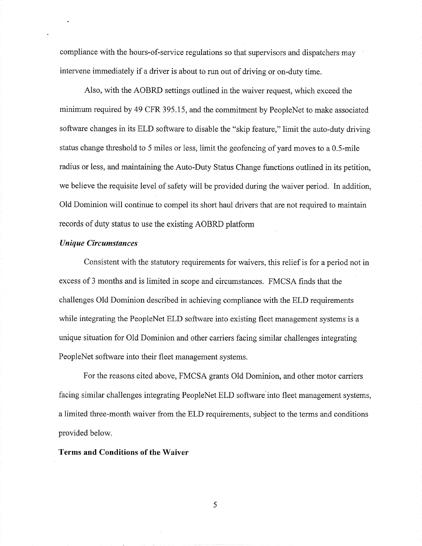compliance with the hours-of-service regulations so that supervisors and dispatchers may intervene immediately if a driver is about to run out of driving or on-duty time.

Also, with the AOBRD settings outlined in the waiver request, which exceed the minimum required by 49 CFR 395.15, and the commitment by PeopleNet to make associated software changes in its ELD software to disable the "skip feature," limit the auto-duty driving status change threshold to <sup>5</sup> miles or less, limit the geofencing of yard moves to a 0.5-mile radius or less, and maintaining the Auto-Duty Status Change functions outlined in its petition, we believe the requisite level of safety will be provided during the waiver period. In addition, Old Dominion will continue to compel its short haul drivers that are not required to maintain records of duty status to use the existing AOBRD platform

# *Unique Circumstances*

Consistent with the statutory requirements for waivers, this relief is for a period not in excess of <sup>3</sup> months and is limited in scope and circumstances. FMCSA finds that the challenges Old Dominion described in achieving compliance with the ELD requirements while integrating the PeopleNet ELD software into existing fleet management systems is a unique situation for Old Dominion and other carriers facing similar challenges integrating PeopleNet software into their fleet management systems.

For the reasons cited above, FMCSA grants Old Dominion, and other motor carriers facing similar challenges integrating PeopleNet ELD software into fleet management systems, a limited three-month waiver from the ELD requirements, subject to the terms and conditions provided below.

#### **Terms and Conditions of the Waiver**

5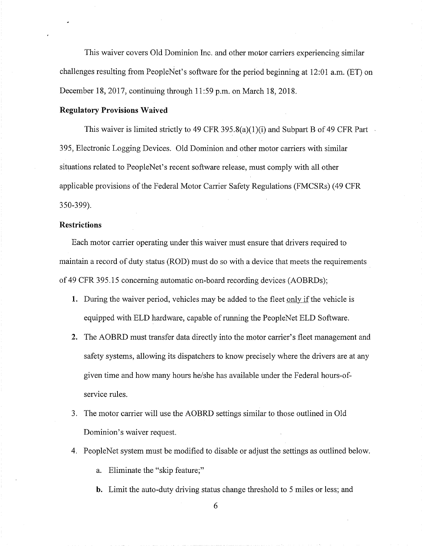This waiver covers Old Dominion Inc. and other motor carriers experiencing similar challenges resulting from PeopleNet's software for the period beginning at 12:01 a.m. (ET) on December 18, 2017, continuing through *11:59* p.m. on March 18, 2018.

# **Regulatory Provisions Waived**

This waiver is limited strictly to 49 CFR 395.8(a)(1)(i) and Subpart B of 49 CFR Part *395,* Electronic Logging Devices. Old Dominion and other motor carriers with similar situations related to PeopleNet's recent software release, must comply with all other applicable provisions of the Federal Motor Carrier Safety Regulations (FMCSRs) (49 CFR *350-399).*

# **Restrictions**

Each motor carrier operating under this waiver must ensure that drivers required to maintain a record of duty status (ROD) must do so with a device that meets the requirements of 49 CFR 395.15 concerning automatic on-board recording devices (AOBRDs);

- 1. During the waiver period, vehicles may be added to the fleet only if the vehicle is equipped with ELD hardware, capable of running the PeopleNet ELD Software.
- 2. The AOBRD must transfer data directly into the motor carrier's fleet management and safety systems, allowing its dispatchers to know precisely where the drivers are at any given time and how many hours he/she has available under the Federal hours-ofservice rules.
- 3. The motor carrier will use the AOBRD settings similar to those outlined in Old Dominion's waiver request.
- 4. PeopleNet system must be modified to disable or adjust the settings as outlined below.

a. Eliminate the "skip feature;"

b. Limit the auto-duty driving status change threshold to 5 miles or less; and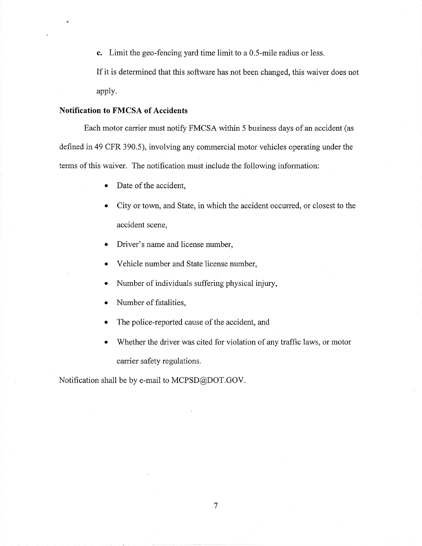**c.** Limit the geo-fencing yard time limit to a 0.5-mile radius or less.

If it is determined that this software has not been changed, this waiver does not apply.

# **Notification to FMCSA of Accidents**

Each motor carrier must notify FMCSA within *<sup>5</sup>* business days of an accident (as defined in 49 CFR *390.5),* involving any commercial motor vehicles operating under the terms of this waiver. The notification must include the following information:

- Date of the accident,
- City or town, and State, in which the accident occurred, or closest to the accident scene,
- Driver's name and license number,
- Vehicle number and State license number,
- Number of individuals suffering physical injury,
- Number of fatalities,
- The police-reported cause of the accident, and
- Whether the driver was cited for violation of any traffic laws, or motor carrier safety regulations.

*7*

Notification shall be by e-mail to MCPSD@DOT.GOV.